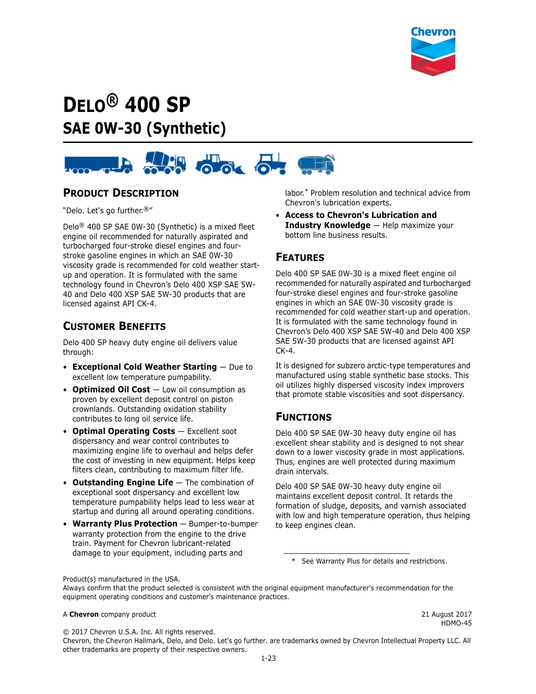

# **DELO® 400 SP SAE 0W-30 (Synthetic)**



### **PRODUCT DESCRIPTION**

"Delo. Let's go further.®"

Delo® 400 SP SAE 0W-30 (Synthetic) is a mixed fleet engine oil recommended for naturally aspirated and turbocharged four-stroke diesel engines and fourstroke gasoline engines in which an SAE 0W-30 viscosity grade is recommended for cold weather startup and operation. It is formulated with the same technology found in Chevron's Delo 400 XSP SAE 5W-40 and Delo 400 XSP SAE 5W-30 products that are licensed against API CK-4.

# **CUSTOMER BENEFITS**

Delo 400 SP heavy duty engine oil delivers value through:

- **Exceptional Cold Weather Starting** Due to excellent low temperature pumpability.
- **Optimized Oil Cost** Low oil consumption as proven by excellent deposit control on piston crownlands. Outstanding oxidation stability contributes to long oil service life.
- **Optimal Operating Costs** Excellent soot dispersancy and wear control contributes to maximizing engine life to overhaul and helps defer the cost of investing in new equipment. Helps keep filters clean, contributing to maximum filter life.
- **Outstanding Engine Life**  The combination of exceptional soot dispersancy and excellent low temperature pumpability helps lead to less wear at startup and during all around operating conditions.
- **Warranty Plus Protection** Bumper-to-bumper warranty protection from the engine to the drive train. Payment for Chevron lubricant-related damage to your equipment, including parts and

labor.\* Problem resolution and technical advice from Chevron's lubrication experts.

• **Access to Chevron's Lubrication and Industry Knowledge** — Help maximize your bottom line business results.

### **FEATURES**

Delo 400 SP SAE 0W-30 is a mixed fleet engine oil recommended for naturally aspirated and turbocharged four-stroke diesel engines and four-stroke gasoline engines in which an SAE 0W-30 viscosity grade is recommended for cold weather start-up and operation. It is formulated with the same technology found in Chevron's Delo 400 XSP SAE 5W-40 and Delo 400 XSP SAE 5W-30 products that are licensed against API CK-4.

It is designed for subzero arctic-type temperatures and manufactured using stable synthetic base stocks. This oil utilizes highly dispersed viscosity index improvers that promote stable viscosities and soot dispersancy.

### **FUNCTIONS**

Delo 400 SP SAE 0W-30 heavy duty engine oil has excellent shear stability and is designed to not shear down to a lower viscosity grade in most applications. Thus, engines are well protected during maximum drain intervals.

Delo 400 SP SAE 0W-30 heavy duty engine oil maintains excellent deposit control. It retards the formation of sludge, deposits, and varnish associated with low and high temperature operation, thus helping to keep engines clean.

\* See Warranty Plus for details and restrictions.

Product(s) manufactured in the USA.

Always confirm that the product selected is consistent with the original equipment manufacturer's recommendation for the equipment operating conditions and customer's maintenance practices.

#### A **Chevron** company product 2017

HDMO-45

© 2017 Chevron U.S.A. Inc. All rights reserved.

Chevron, the Chevron Hallmark, Delo, and Delo. Let's go further. are trademarks owned by Chevron Intellectual Property LLC. All other trademarks are property of their respective owners.